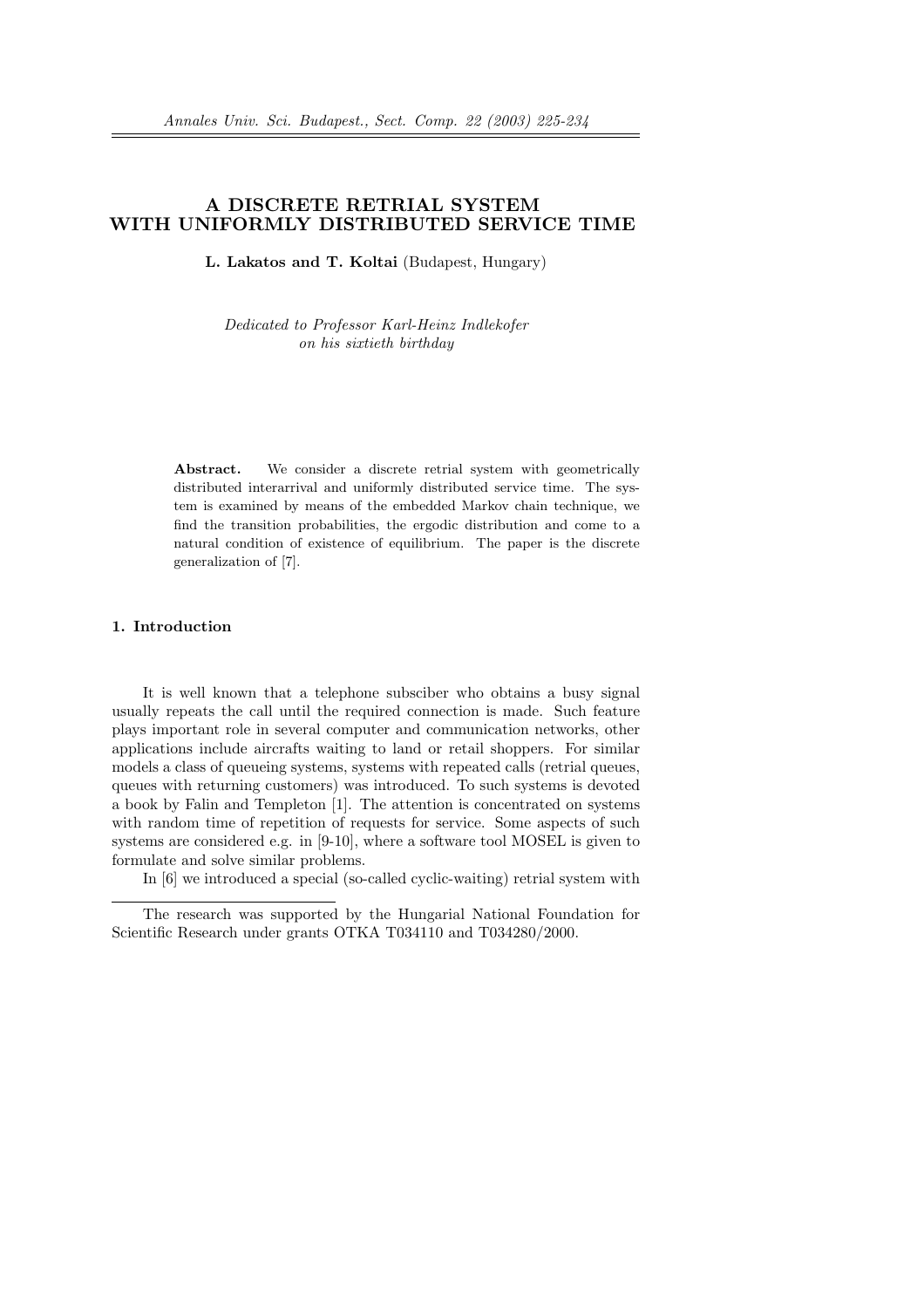# A DISCRETE RETRIAL SYSTEM WITH UNIFORMLY DISTRIBUTED SERVICE TIME

L. Lakatos and T. Koltai (Budapest, Hungary)

Dedicated to Professor Karl-Heinz Indlekofer on his sixtieth birthday

Abstract. We consider a discrete retrial system with geometrically distributed interarrival and uniformly distributed service time. The system is examined by means of the embedded Markov chain technique, we find the transition probabilities, the ergodic distribution and come to a natural condition of existence of equilibrium. The paper is the discrete generalization of [7].

#### 1. Introduction

It is well known that a telephone subsciber who obtains a busy signal usually repeats the call until the required connection is made. Such feature plays important role in several computer and communication networks, other applications include aircrafts waiting to land or retail shoppers. For similar models a class of queueing systems, systems with repeated calls (retrial queues, queues with returning customers) was introduced. To such systems is devoted a book by Falin and Templeton [1]. The attention is concentrated on systems with random time of repetition of requests for service. Some aspects of such systems are considered e.g. in [9-10], where a software tool MOSEL is given to formulate and solve similar problems.

In [6] we introduced a special (so-called cyclic-waiting) retrial system with

The research was supported by the Hungarial National Foundation for Scientific Research under grants OTKA T034110 and T034280/2000.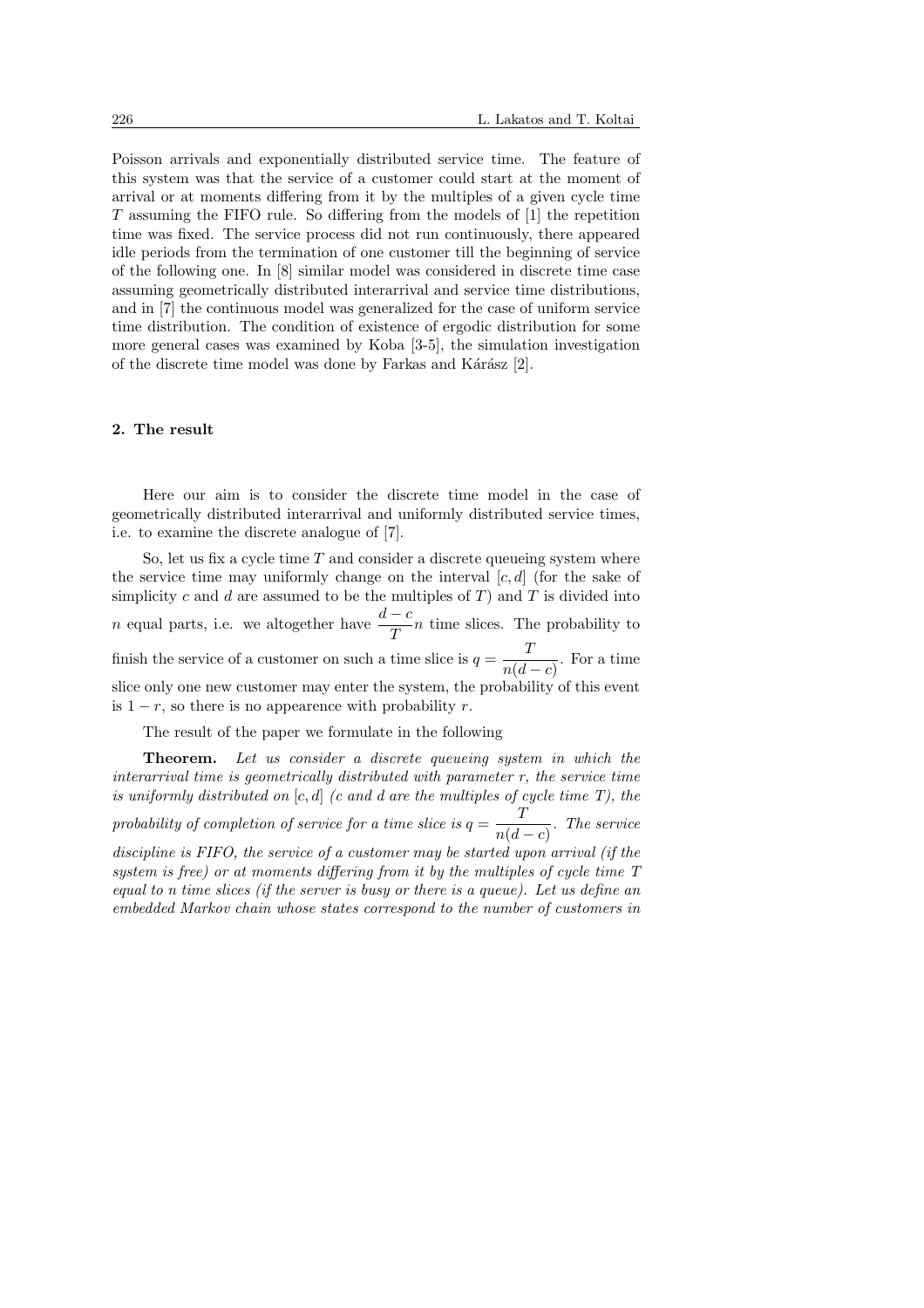Poisson arrivals and exponentially distributed service time. The feature of this system was that the service of a customer could start at the moment of arrival or at moments differing from it by the multiples of a given cycle time T assuming the FIFO rule. So differing from the models of [1] the repetition time was fixed. The service process did not run continuously, there appeared idle periods from the termination of one customer till the beginning of service of the following one. In [8] similar model was considered in discrete time case assuming geometrically distributed interarrival and service time distributions, and in [7] the continuous model was generalized for the case of uniform service time distribution. The condition of existence of ergodic distribution for some more general cases was examined by Koba [3-5], the simulation investigation of the discrete time model was done by Farkas and Kárász [2].

#### 2. The result

Here our aim is to consider the discrete time model in the case of geometrically distributed interarrival and uniformly distributed service times, i.e. to examine the discrete analogue of [7].

So, let us fix a cycle time  $T$  and consider a discrete queueing system where the service time may uniformly change on the interval  $[c, d]$  (for the sake of simplicity c and d are assumed to be the multiples of  $T$ ) and  $T$  is divided into *n* equal parts, i.e. we altogether have  $\frac{d-c}{T}n$  time slices. The probability to finish the service of a customer on such a time slice is  $q = \frac{T}{\sqrt{t}}$  $\frac{1}{n(d-c)}$ . For a time slice only one new customer may enter the system, the probability of this event is  $1 - r$ , so there is no appearence with probability r.

The result of the paper we formulate in the following

Theorem. Let us consider a discrete queueing system in which the interarrival time is geometrically distributed with parameter r, the service time is uniformly distributed on  $[c, d]$  (c and d are the multiples of cycle time T), the probability of completion of service for a time slice is  $q = \frac{T}{\sqrt{1-\epsilon}}$  $\frac{1}{n(d-c)}$ . The service discipline is FIFO, the service of a customer may be started upon arrival (if the system is free) or at moments differing from it by the multiples of cycle time T equal to n time slices (if the server is busy or there is a queue). Let us define an embedded Markov chain whose states correspond to the number of customers in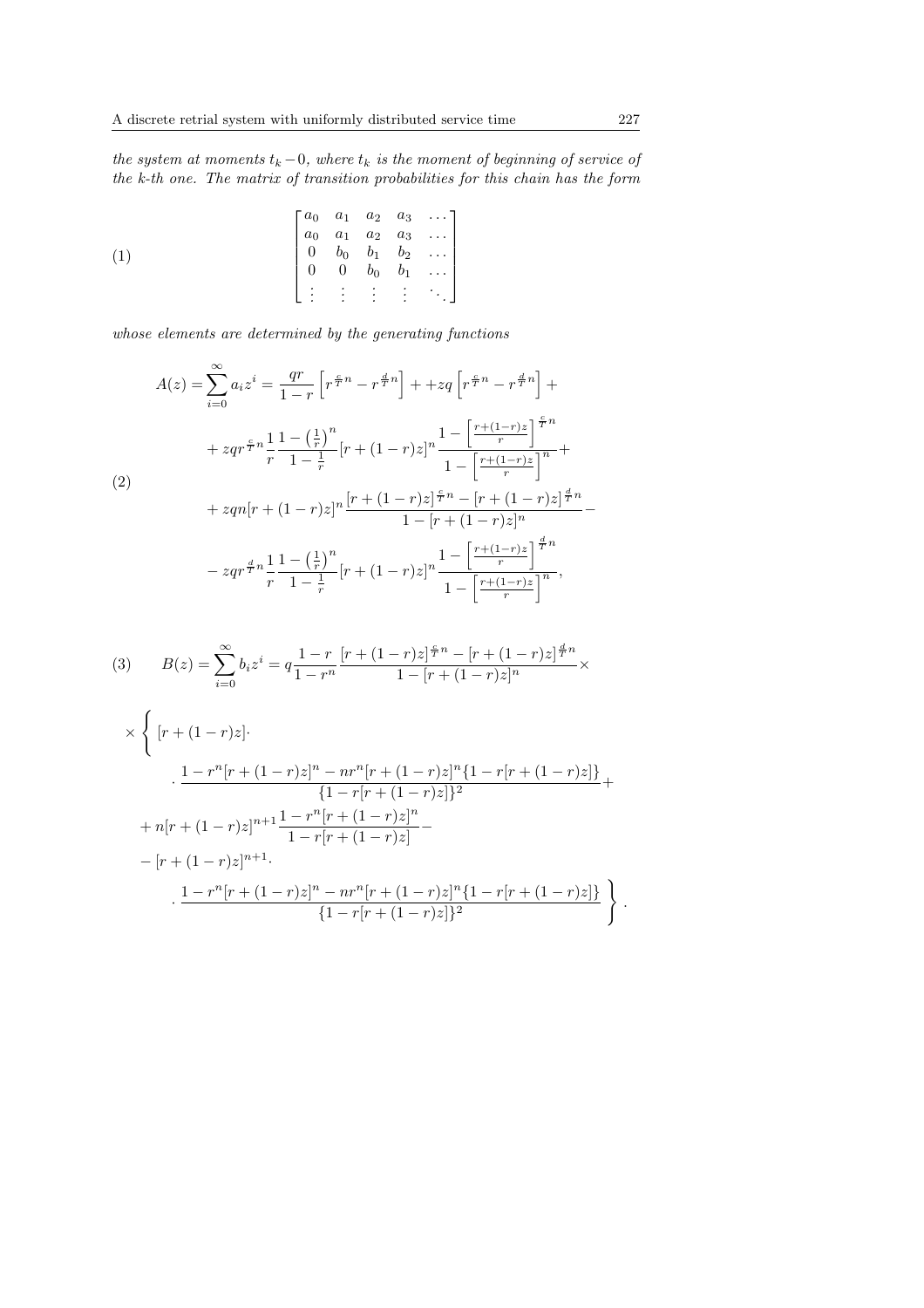the system at moments  $t_k - 0$ , where  $t_k$  is the moment of beginning of service of the k-th one. The matrix of transition probabilities for this chain has the form

$$
(1) \qquad \qquad \begin{bmatrix} a_0 & a_1 & a_2 & a_3 & \dots \\ a_0 & a_1 & a_2 & a_3 & \dots \\ 0 & b_0 & b_1 & b_2 & \dots \\ 0 & 0 & b_0 & b_1 & \dots \\ \vdots & \vdots & \vdots & \vdots & \vdots & \ddots \end{bmatrix}
$$

whose elements are determined by the generating functions

$$
A(z) = \sum_{i=0}^{\infty} a_i z^i = \frac{qr}{1-r} \left[ r^{\frac{c}{T}n} - r^{\frac{d}{T}n} \right] + +zq \left[ r^{\frac{c}{T}n} - r^{\frac{d}{T}n} \right] +
$$
  
+  $zqr^{\frac{c}{T}n} \frac{1}{r} \frac{1 - (\frac{1}{r})^n}{1 - \frac{1}{r}} [r + (1-r)z]^n \frac{1 - \left[ \frac{r + (1-r)z}{r} \right]^{\frac{c}{T}n}}{1 - \left[ \frac{r + (1-r)z}{r} \right]^n} +$   
(2)  
+  $zqn[r + (1-r)z]^n \frac{[r + (1-r)z]^{\frac{c}{T}n} - [r + (1-r)z]^{\frac{d}{T}n}}{1 - [r + (1-r)z]^n} -$   
-  $zqr^{\frac{d}{T}n} \frac{1}{r} \frac{1 - (\frac{1}{r})^n}{1 - \frac{1}{r}} [r + (1-r)z]^n \frac{1 - \left[ \frac{r + (1-r)z}{r} \right]^{\frac{d}{T}n}}{1 - \left[ \frac{r + (1-r)z}{r} \right]^n},$ 

(3) 
$$
B(z) = \sum_{i=0}^{\infty} b_i z^i = q \frac{1-r}{1-r^n} \frac{[r+(1-r)z]^{\frac{c}{T}n} - [r+(1-r)z]^{\frac{d}{T}n}}{1-[r+(1-r)z]^n} \times
$$

$$
\times \left\{ \left[ r + (1-r)z \right] \cdot \frac{1 - r^n [r + (1-r)z]^n - nr^n [r + (1-r)z]^n \{1 - r[r + (1-r)z] \}}{\{1 - r[r + (1-r)z] \}^2} + \right.
$$
  
+ n[r + (1-r)z]^{n+1} \frac{1 - r^n [r + (1-r)z]^n}{1 - r[r + (1-r)z]} -  
- [r + (1-r)z]^{n+1}.  
. 
$$
\frac{1 - r^n [r + (1-r)z]^n - nr^n [r + (1-r)z]^n \{1 - r[r + (1-r)z] \}}{\{1 - r[r + (1-r)z] \}^2} \right\}
$$

.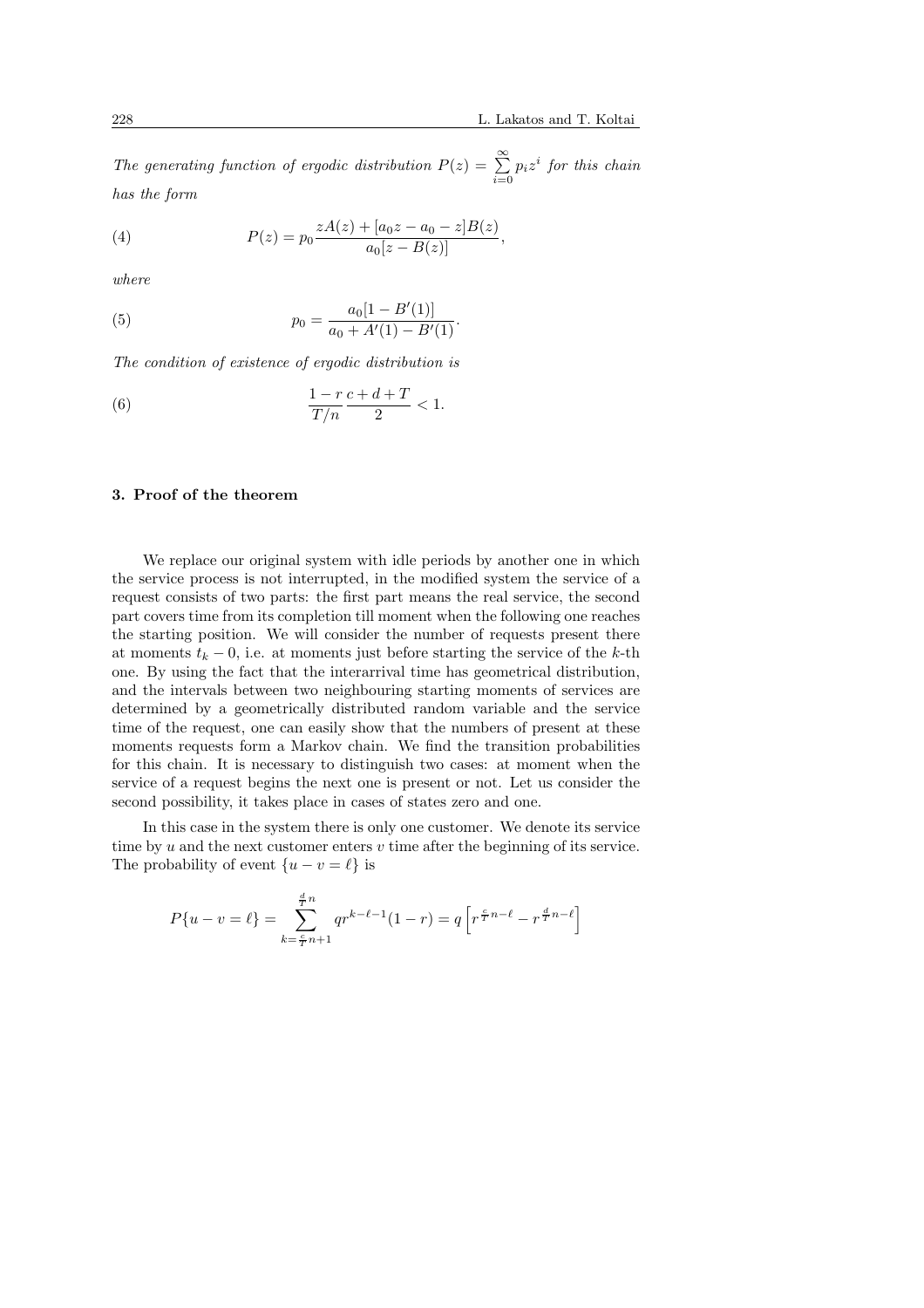The generating function of ergodic distribution  $P(z) = \sum_{n=0}^{\infty}$  $\sum_{i=0} p_i z^i$  for this chain has the form

(4) 
$$
P(z) = p_0 \frac{zA(z) + [a_0 z - a_0 - z]B(z)}{a_0 [z - B(z)]},
$$

where

(5) 
$$
p_0 = \frac{a_0[1 - B'(1)]}{a_0 + A'(1) - B'(1)}.
$$

The condition of existence of ergodic distribution is

(6) 
$$
\frac{1-r}{T/n} \frac{c+d+T}{2} < 1.
$$

## 3. Proof of the theorem

We replace our original system with idle periods by another one in which the service process is not interrupted, in the modified system the service of a request consists of two parts: the first part means the real service, the second part covers time from its completion till moment when the following one reaches the starting position. We will consider the number of requests present there at moments  $t_k - 0$ , i.e. at moments just before starting the service of the k-th one. By using the fact that the interarrival time has geometrical distribution, and the intervals between two neighbouring starting moments of services are determined by a geometrically distributed random variable and the service time of the request, one can easily show that the numbers of present at these moments requests form a Markov chain. We find the transition probabilities for this chain. It is necessary to distinguish two cases: at moment when the service of a request begins the next one is present or not. Let us consider the second possibility, it takes place in cases of states zero and one.

In this case in the system there is only one customer. We denote its service time by u and the next customer enters  $v$  time after the beginning of its service. The probability of event  $\{u - v = \ell\}$  is

$$
P\{u-v=\ell\} = \sum_{k=\frac{c}{T}n+1}^{\frac{d}{T}n} qr^{k-\ell-1}(1-r) = q \left[ r^{\frac{c}{T}n-\ell} - r^{\frac{d}{T}n-\ell} \right]
$$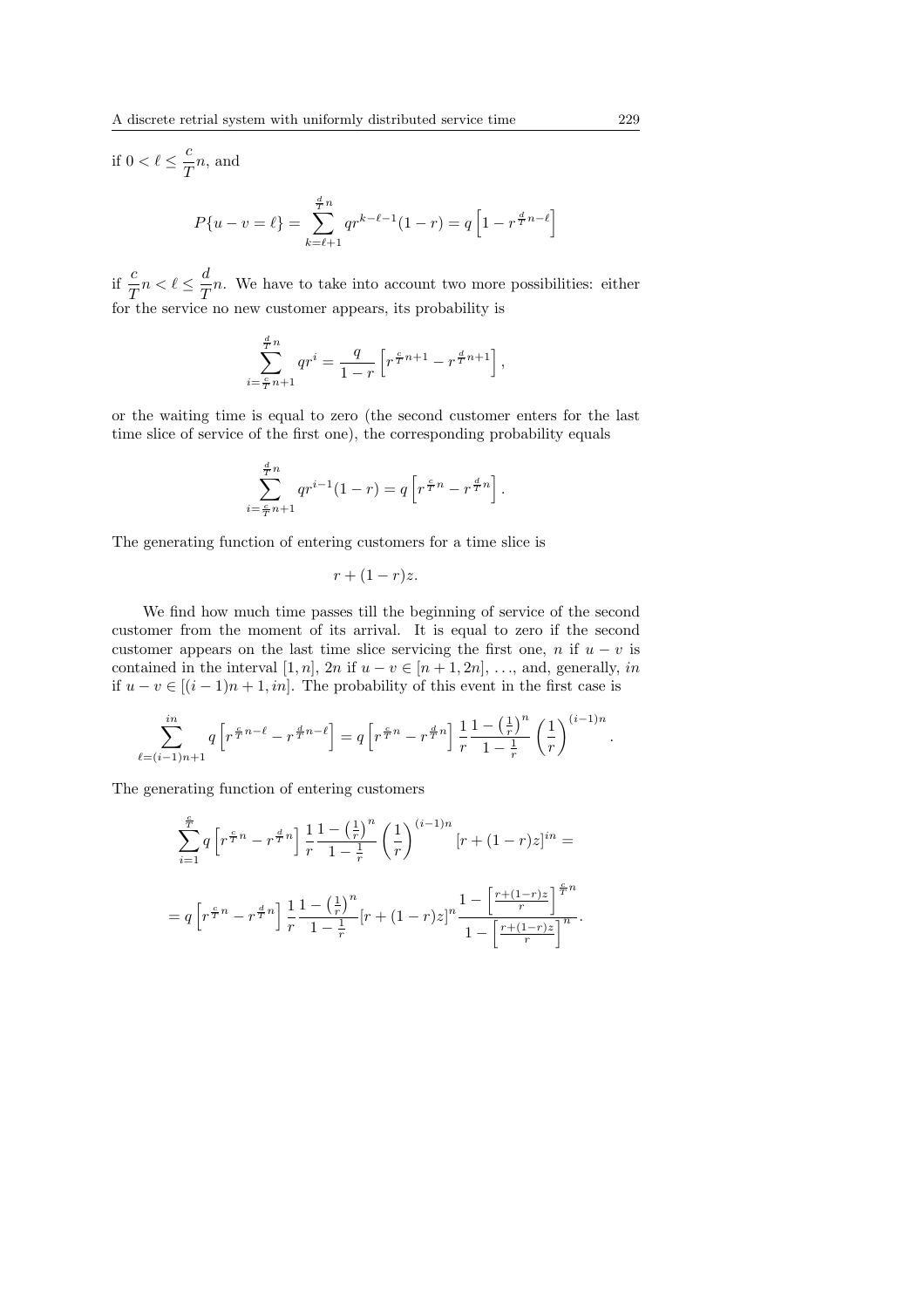if 
$$
0 < \ell \leq \frac{c}{T}n
$$
, and  
\n
$$
P\{u - v = \ell\} = \sum_{k=\ell+1}^{\frac{d}{T}n} qr^{k-\ell-1}(1-r) = q\left[1 - r^{\frac{d}{T}n-\ell}\right]
$$

if  $\frac{c}{T}n < \ell \leq \frac{d}{T}$  $\frac{a}{T}n$ . We have to take into account two more possibilities: either for the service no new customer appears, its probability is

$$
\sum_{i=\frac{c}{T}n+1}^{\frac{d}{T}n} qr^i = \frac{q}{1-r} \left[ r^{\frac{c}{T}n+1} - r^{\frac{d}{T}n+1} \right],
$$

or the waiting time is equal to zero (the second customer enters for the last time slice of service of the first one), the corresponding probability equals

$$
\sum_{i=\frac{c}{T}n+1}^{\frac{d}{T}n} qr^{i-1}(1-r) = q \left[ r^{\frac{c}{T}n} - r^{\frac{d}{T}n} \right].
$$

The generating function of entering customers for a time slice is

$$
r + (1 - r)z.
$$

We find how much time passes till the beginning of service of the second customer from the moment of its arrival. It is equal to zero if the second customer appears on the last time slice servicing the first one, n if  $u - v$  is contained in the interval [1, n], 2n if  $u - v \in [n + 1, 2n]$ , ..., and, generally, in if  $u - v \in [(i - 1)n + 1, in]$ . The probability of this event in the first case is

$$
\sum_{\ell=(i-1)n+1}^{in} q\left[r^{\frac{c}{T}n-\ell}-r^{\frac{d}{T}n-\ell}\right] = q\left[r^{\frac{c}{T}n}-r^{\frac{d}{T}n}\right] \frac{1}{r} \frac{1-\left(\frac{1}{r}\right)^n}{1-\frac{1}{r}} \left(\frac{1}{r}\right)^{(i-1)n}.
$$

The generating function of entering customers

$$
\sum_{i=1}^{\frac{c}{T}} q \left[ r^{\frac{c}{T}n} - r^{\frac{d}{T}n} \right] \frac{1}{r} \frac{1 - \left(\frac{1}{r}\right)^n}{1 - \frac{1}{r}} \left(\frac{1}{r}\right)^{(i-1)n} \left[ r + (1-r)z \right]^{in} =
$$
  
=  $q \left[ r^{\frac{c}{T}n} - r^{\frac{d}{T}n} \right] \frac{1}{r} \frac{1 - \left(\frac{1}{r}\right)^n}{1 - \frac{1}{r}} \left[ r + (1-r)z \right]^n \frac{1 - \left[\frac{r + (1-r)z}{r}\right]^{\frac{c}{T}n}}{1 - \left[\frac{r + (1-r)z}{r}\right]^n}.$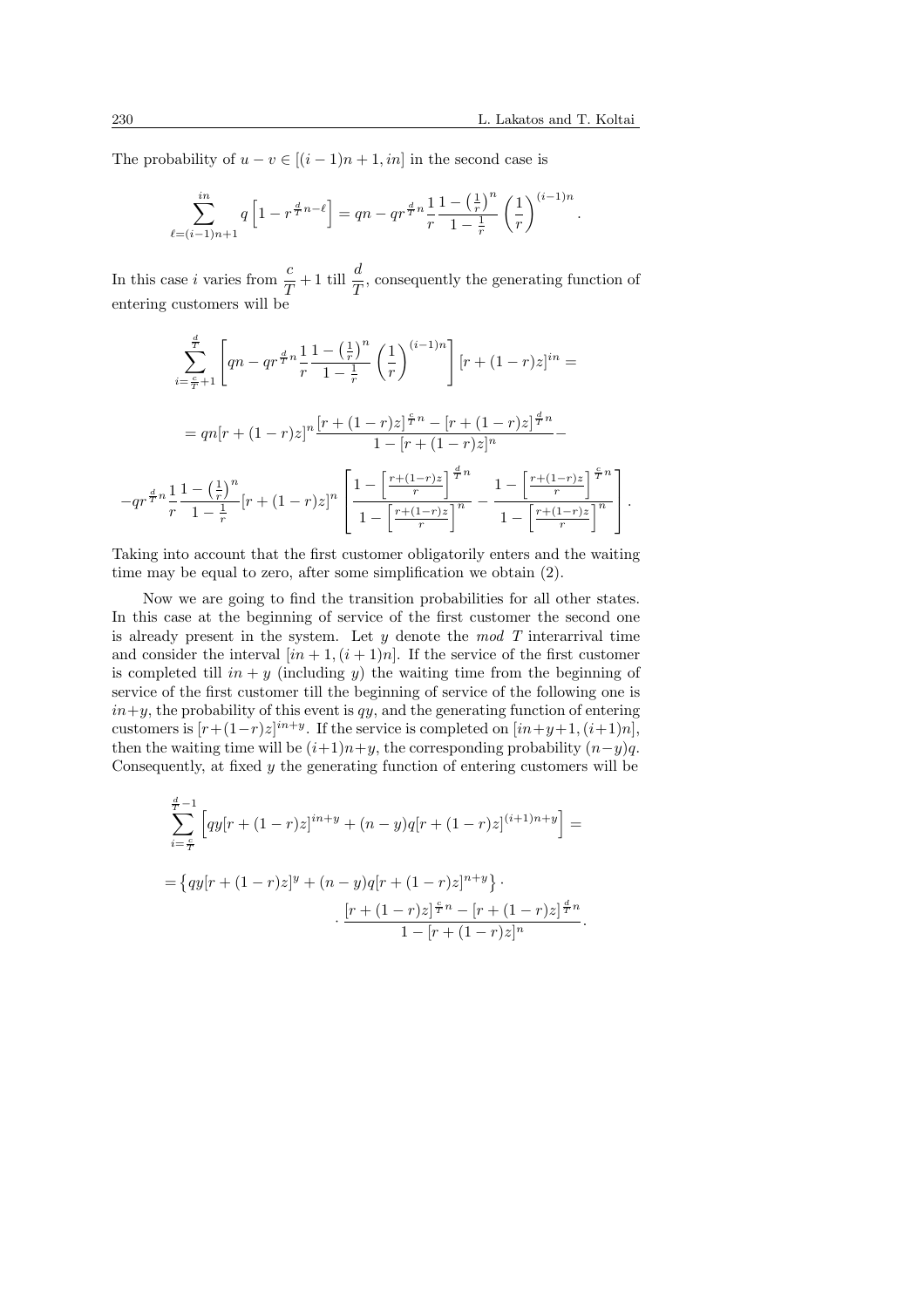.

The probability of  $u - v \in [(i-1)n + 1, in]$  in the second case is

$$
\sum_{\ell=(i-1)n+1}^{in} q\left[1 - r^{\frac{d}{T}n-\ell}\right] = qn - qr^{\frac{d}{T}n} \frac{1}{r} \frac{1 - \left(\frac{1}{r}\right)^n}{1 - \frac{1}{r}} \left(\frac{1}{r}\right)^{(i-1)n}
$$

In this case *i* varies from  $\frac{c}{T} + 1$  till  $\frac{d}{T}$ , consequently the generating function of entering customers will be

$$
\sum_{i=\frac{c}{T}+1}^{\frac{d}{T}} \left[ qn - qr^{\frac{d}{T}n} \frac{1 - \left(\frac{1}{r}\right)^n}{1 - \frac{1}{r}} \left(\frac{1}{r}\right)^{(i-1)n} \right] \left[ r + (1-r)z \right]^{in} =
$$
\n
$$
= qn[r + (1-r)z]^n \frac{[r + (1-r)z]^{\frac{c}{T}n} - [r + (1-r)z]^{\frac{d}{T}n}}{1 - [r + (1-r)z]^n} -
$$
\n
$$
-qr^{\frac{d}{T}n} \frac{1 - \left(\frac{1}{r}\right)^n}{1 - \frac{1}{r}} [r + (1-r)z]^n \left[ \frac{1 - \left[\frac{r + (1-r)z}{r}\right]^{\frac{d}{T}n}}{1 - \left[\frac{r + (1-r)z}{r}\right]^n} - \frac{1 - \left[\frac{r + (1-r)z}{r}\right]^{\frac{c}{T}n}}{1 - \left[\frac{r + (1-r)z}{r}\right]^n} \right].
$$

Taking into account that the first customer obligatorily enters and the waiting time may be equal to zero, after some simplification we obtain (2).

Now we are going to find the transition probabilities for all other states. In this case at the beginning of service of the first customer the second one is already present in the system. Let  $y$  denote the mod T interarrival time and consider the interval  $(in + 1, (i + 1)n]$ . If the service of the first customer is completed till in  $y$  (including y) the waiting time from the beginning of service of the first customer till the beginning of service of the following one is  $in+y$ , the probability of this event is qy, and the generating function of entering customers is  $[r+(1-r)z]^{in+y}$ . If the service is completed on  $(in+y+1,(i+1)n]$ , then the waiting time will be  $(i+1)n+y$ , the corresponding probability  $(n-y)q$ . Consequently, at fixed y the generating function of entering customers will be

$$
\sum_{i=\frac{c}{T}}^{\frac{d}{T}-1} \left[ qy[r+(1-r)z]^{in+y} + (n-y)q[r+(1-r)z]^{(i+1)n+y} \right] =
$$
  
= 
$$
\{ qy[r+(1-r)z]^{y} + (n-y)q[r+(1-r)z]^{n+y} \} \cdot \frac{[r+(1-r)z]^{\frac{c}{T}n} - [r+(1-r)z]^{\frac{d}{T}n}}{1-[r+(1-r)z]^{n}}.
$$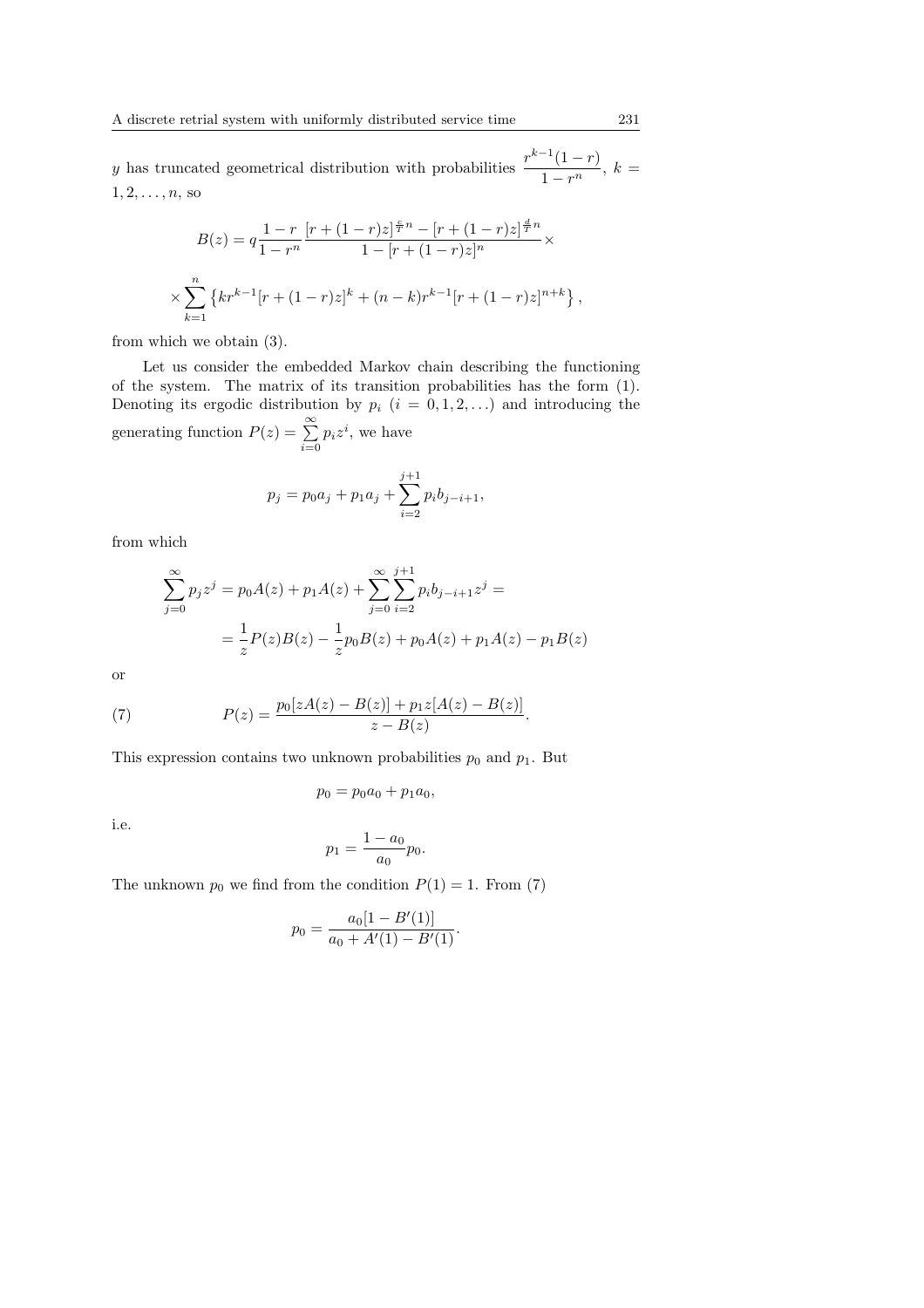y has truncated geometrical distribution with probabilities  $\frac{r^{k-1}(1-r)}{1-r}$  $\frac{1-r^n}{1-r^n}, k =$  $1, 2, \ldots, n$ , so

$$
B(z) = q \frac{1 - r}{1 - r^n} \frac{[r + (1 - r)z]^{\frac{c}{T}n} - [r + (1 - r)z]^{\frac{d}{T}n}}{1 - [r + (1 - r)z]^n} \times
$$
  

$$
\times \sum_{k=1}^n \left\{ kr^{k-1} [r + (1 - r)z]^k + (n - k)r^{k-1} [r + (1 - r)z]^{n+k} \right\},
$$

from which we obtain (3).

Let us consider the embedded Markov chain describing the functioning of the system. The matrix of its transition probabilities has the form (1). Denoting its ergodic distribution by  $p_i$   $(i = 0, 1, 2, ...)$  and introducing the generating function  $P(z) = \sum_{n=0}^{\infty}$  $\sum_{i=0} p_i z^i$ , we have

$$
p_j = p_0 a_j + p_1 a_j + \sum_{i=2}^{j+1} p_i b_{j-i+1},
$$

from which

$$
\sum_{j=0}^{\infty} p_j z^j = p_0 A(z) + p_1 A(z) + \sum_{j=0}^{\infty} \sum_{i=2}^{j+1} p_i b_{j-i+1} z^j =
$$
  
= 
$$
\frac{1}{z} P(z) B(z) - \frac{1}{z} p_0 B(z) + p_0 A(z) + p_1 A(z) - p_1 B(z)
$$

or

(7) 
$$
P(z) = \frac{p_0[zA(z) - B(z)] + p_1z[A(z) - B(z)]}{z - B(z)}.
$$

This expression contains two unknown probabilities  $p_0$  and  $p_1$ . But

$$
p_0 = p_0 a_0 + p_1 a_0,
$$

i.e.

$$
p_1 = \frac{1 - a_0}{a_0} p_0.
$$

The unknown  $p_0$  we find from the condition  $P(1) = 1$ . From (7)

$$
p_0 = \frac{a_0[1 - B'(1)]}{a_0 + A'(1) - B'(1)}.
$$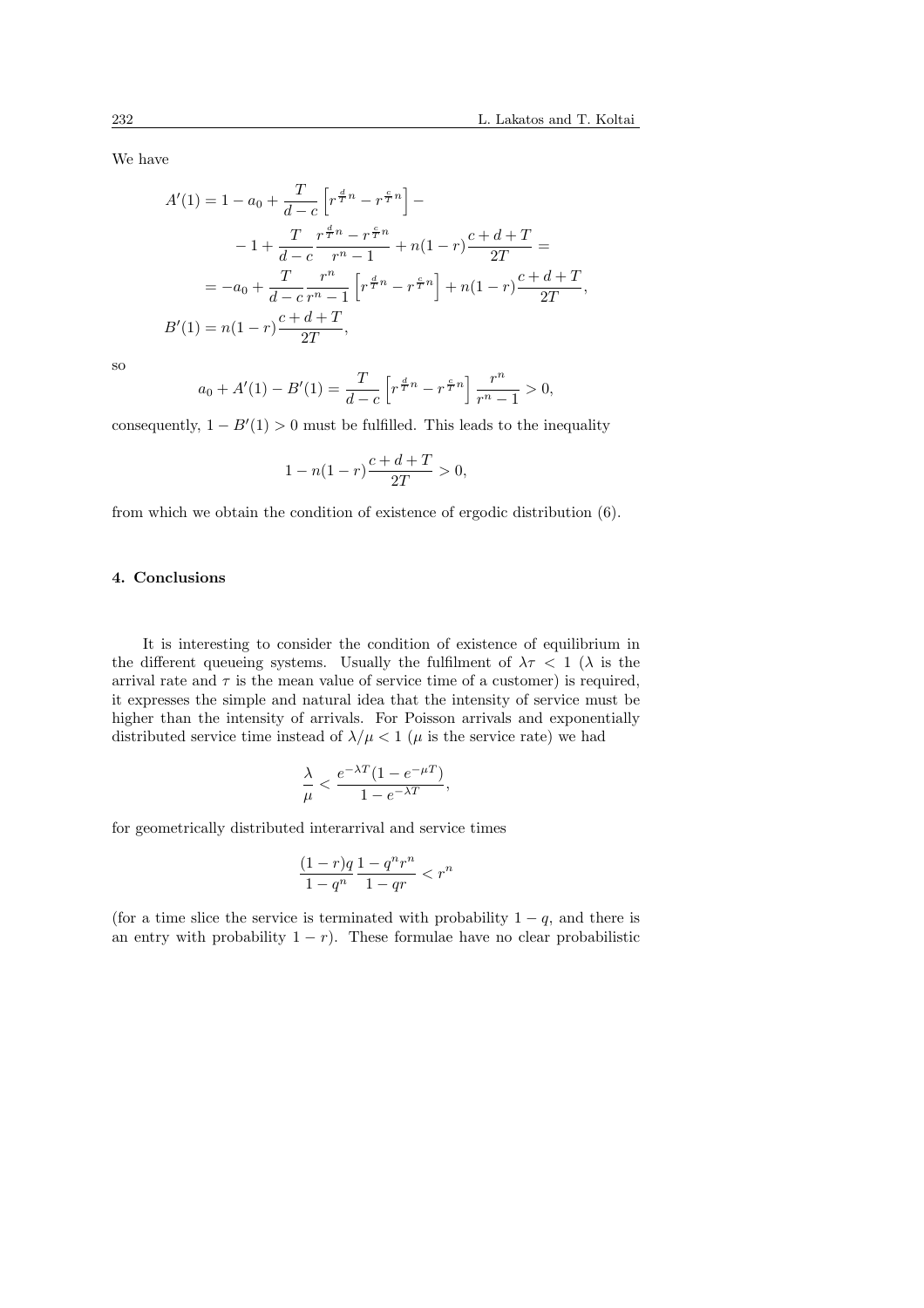We have

$$
A'(1) = 1 - a_0 + \frac{T}{d-c} \left[ r^{\frac{d}{T}n} - r^{\frac{c}{T}n} \right] -
$$
  

$$
-1 + \frac{T}{d-c} \frac{r^{\frac{d}{T}n} - r^{\frac{c}{T}n}}{r^n - 1} + n(1 - r) \frac{c + d + T}{2T} =
$$
  

$$
= -a_0 + \frac{T}{d-c} \frac{r^n}{r^n - 1} \left[ r^{\frac{d}{T}n} - r^{\frac{c}{T}n} \right] + n(1 - r) \frac{c + d + T}{2T},
$$
  

$$
B'(1) = n(1 - r) \frac{c + d + T}{2T},
$$

so

$$
a_0 + A'(1) - B'(1) = \frac{T}{d - c} \left[ r^{\frac{d}{T}n} - r^{\frac{c}{T}n} \right] \frac{r^n}{r^n - 1} > 0,
$$

consequently,  $1 - B'(1) > 0$  must be fulfilled. This leads to the inequality

$$
1 - n(1 - r)\frac{c + d + T}{2T} > 0,
$$

from which we obtain the condition of existence of ergodic distribution (6).

### 4. Conclusions

It is interesting to consider the condition of existence of equilibrium in the different queueing systems. Usually the fulfilment of  $\lambda \tau$  < 1 ( $\lambda$  is the arrival rate and  $\tau$  is the mean value of service time of a customer) is required, it expresses the simple and natural idea that the intensity of service must be higher than the intensity of arrivals. For Poisson arrivals and exponentially distributed service time instead of  $\lambda/\mu < 1$  ( $\mu$  is the service rate) we had

$$
\frac{\lambda}{\mu}<\frac{e^{-\lambda T}(1-e^{-\mu T})}{1-e^{-\lambda T}},
$$

for geometrically distributed interarrival and service times

$$
\frac{(1-r)q}{1-q^n}\frac{1-q^nr^n}{1-qr}
$$

(for a time slice the service is terminated with probability  $1 - q$ , and there is an entry with probability  $1 - r$ ). These formulae have no clear probabilistic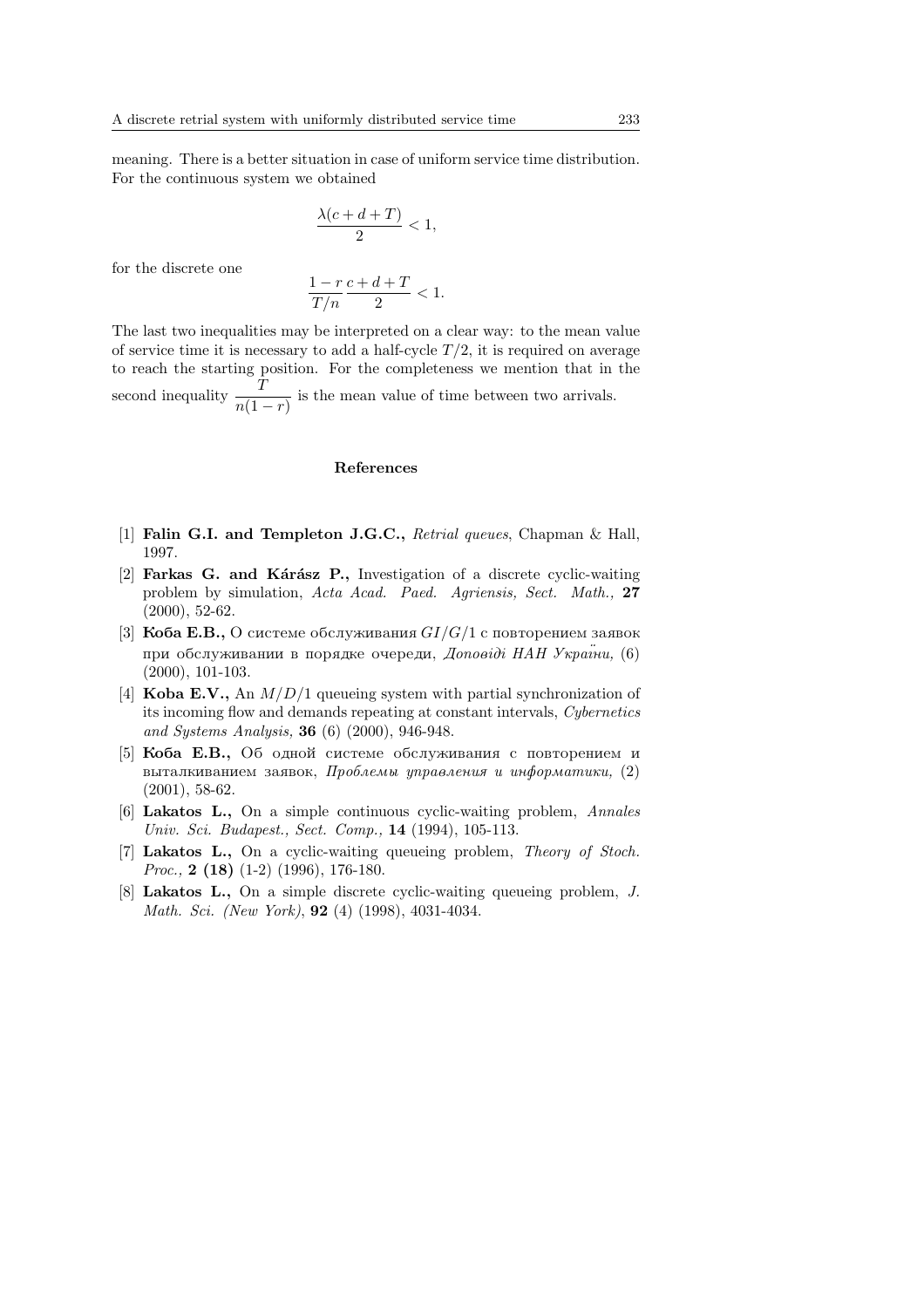meaning. There is a better situation in case of uniform service time distribution. For the continuous system we obtained

$$
\frac{\lambda(c+d+T)}{2} < 1,
$$

for the discrete one

$$
\frac{1-r}{T/n} \frac{c+d+T}{2} < 1.
$$

The last two inequalities may be interpreted on a clear way: to the mean value of service time it is necessary to add a half-cycle  $T/2$ , it is required on average to reach the starting position. For the completeness we mention that in the second inequality  $\frac{T}{n(1-r)}$  is the mean value of time between two arrivals.

### References

- [1] Falin G.I. and Templeton J.G.C., Retrial queues, Chapman & Hall, 1997.
- [2] Farkas G. and Kárász P., Investigation of a discrete cyclic-waiting problem by simulation, Acta Acad. Paed. Agriensis, Sect. Math., 27 (2000), 52-62.
- [3] **Koba E.B.,** O системе обслуживания  $GI/G/1$  с повторением заявок при обслуживании в порядке очереди, Доповіді НАН України. (6) (2000), 101-103.
- [4] **Koba E.V.**, An  $M/D/1$  queueing system with partial synchronization of its incoming flow and demands repeating at constant intervals, Cybernetics and Systems Analysis, 36 (6) (2000), 946-948.
- [5] **Коба Е.В.**, Об одной системе обслуживания с повторением и выталкиванием заявок, Проблемы управления и информатики,  $(2)$ (2001), 58-62.
- [6] Lakatos L., On a simple continuous cyclic-waiting problem, Annales Univ. Sci. Budapest., Sect. Comp., 14 (1994), 105-113.
- [7] Lakatos L., On a cyclic-waiting queueing problem, Theory of Stoch. *Proc.*, **2** (**18**) (1-2) (1996), 176-180.
- [8] Lakatos L., On a simple discrete cyclic-waiting queueing problem, J. Math. Sci. (New York), 92 (4) (1998), 4031-4034.